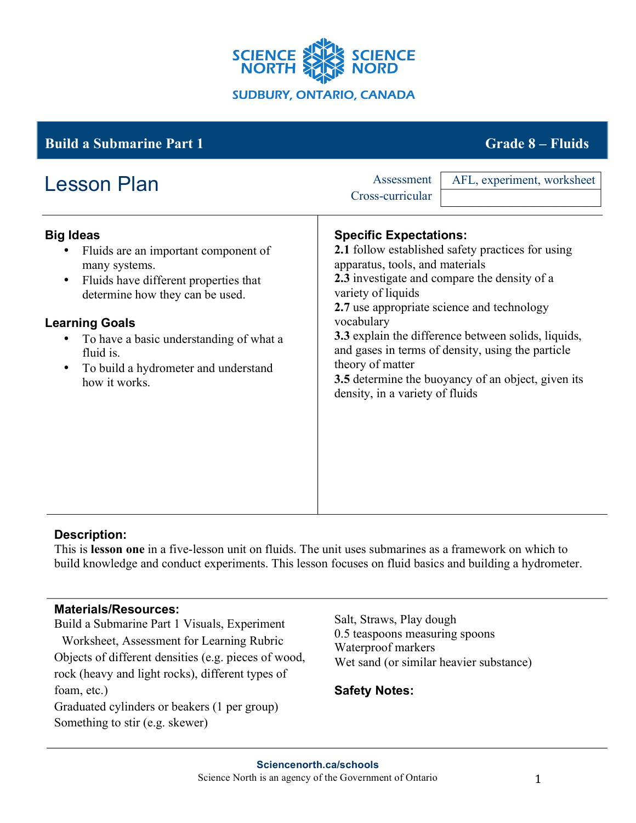

#### **Big Ideas** • Fluids are an important component of many systems. • Fluids have different properties that determine how they can be used. **Learning Goals** • To have a basic understanding of what a fluid is. • To build a hydrometer and understand how it works. **Specific Expectations: 2.1** follow established safety practices for using apparatus, tools, and materials **2.3** investigate and compare the density of a variety of liquids **2.7** use appropriate science and technology vocabulary **3.3** explain the difference between solids, liquids, and gases in terms of density, using the particle theory of matter **3.5** determine the buoyancy of an object, given its density, in a variety of fluids **Build a Submarine Part 1 Grade 8 – Fluids** Lesson Plan Assessment Cross-curricular AFL, experiment, worksheet

# **Description:**

This is **lesson one** in a five-lesson unit on fluids. The unit uses submarines as a framework on which to build knowledge and conduct experiments. This lesson focuses on fluid basics and building a hydrometer.

#### **Materials/Resources:**

Something to stir (e.g. skewer)

Build a Submarine Part 1 Visuals, Experiment Worksheet, Assessment for Learning Rubric Objects of different densities (e.g. pieces of wood, rock (heavy and light rocks), different types of foam, etc.) Graduated cylinders or beakers (1 per group)

Salt, Straws, Play dough 0.5 teaspoons measuring spoons Waterproof markers Wet sand (or similar heavier substance)

# **Safety Notes:**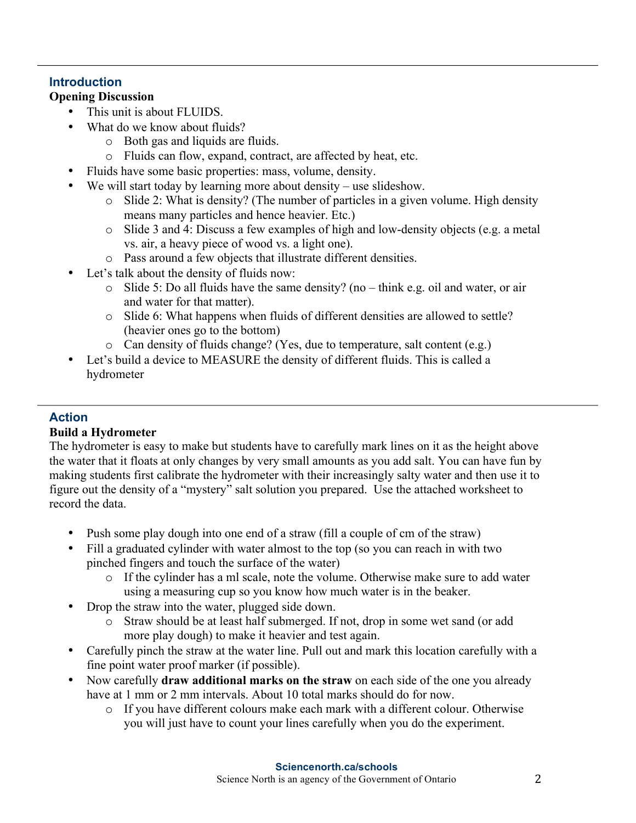# **Introduction**

#### **Opening Discussion**

- This unit is about FLUIDS.
- What do we know about fluids?
	- o Both gas and liquids are fluids.
	- o Fluids can flow, expand, contract, are affected by heat, etc.
- Fluids have some basic properties: mass, volume, density.
- We will start today by learning more about density use slideshow.
	- o Slide 2: What is density? (The number of particles in a given volume. High density means many particles and hence heavier. Etc.)
	- o Slide 3 and 4: Discuss a few examples of high and low-density objects (e.g. a metal vs. air, a heavy piece of wood vs. a light one).
	- o Pass around a few objects that illustrate different densities.
- Let's talk about the density of fluids now:
	- o Slide 5: Do all fluids have the same density? (no think e.g. oil and water, or air and water for that matter).
	- o Slide 6: What happens when fluids of different densities are allowed to settle? (heavier ones go to the bottom)
	- o Can density of fluids change? (Yes, due to temperature, salt content (e.g.)
- Let's build a device to MEASURE the density of different fluids. This is called a hydrometer

# **Action**

#### **Build a Hydrometer**

The hydrometer is easy to make but students have to carefully mark lines on it as the height above the water that it floats at only changes by very small amounts as you add salt. You can have fun by making students first calibrate the hydrometer with their increasingly salty water and then use it to figure out the density of a "mystery" salt solution you prepared. Use the attached worksheet to record the data.

- Push some play dough into one end of a straw (fill a couple of cm of the straw)
- Fill a graduated cylinder with water almost to the top (so you can reach in with two pinched fingers and touch the surface of the water)
	- o If the cylinder has a ml scale, note the volume. Otherwise make sure to add water using a measuring cup so you know how much water is in the beaker.
- Drop the straw into the water, plugged side down.
	- o Straw should be at least half submerged. If not, drop in some wet sand (or add more play dough) to make it heavier and test again.
- Carefully pinch the straw at the water line. Pull out and mark this location carefully with a fine point water proof marker (if possible).
- Now carefully **draw additional marks on the straw** on each side of the one you already have at 1 mm or 2 mm intervals. About 10 total marks should do for now.
	- o If you have different colours make each mark with a different colour. Otherwise you will just have to count your lines carefully when you do the experiment.